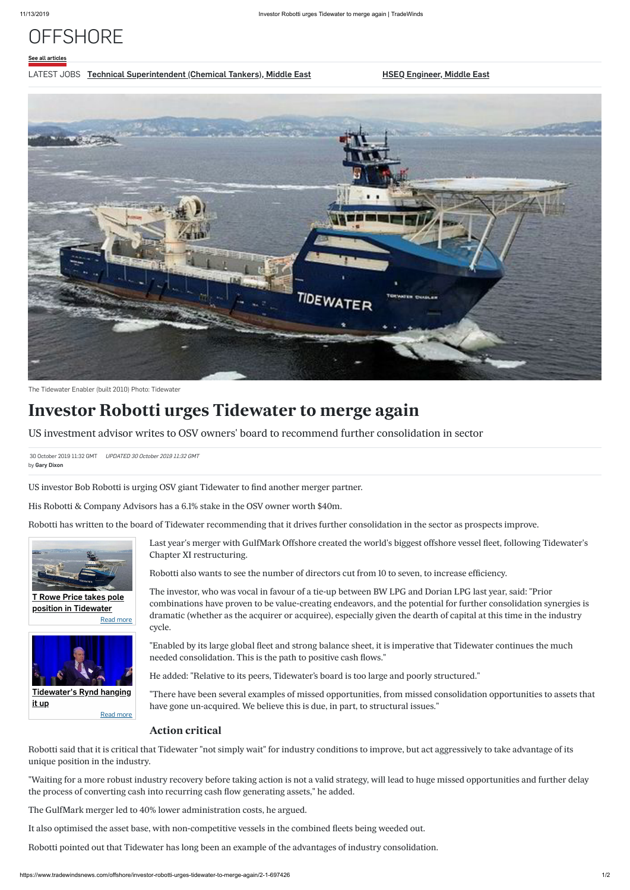# **OFFSHORE**

#### [See all articles](https://www.tradewindsnews.com/offshore)

The Tidewater Enabler (built 2010) Photo: Tidewater

# **Investor Robotti urges Tidewater to merge again**

US investment advisor writes to OSV owners' board to recommend further consolidation in sector

30 October 2019 11:32 GMT UPDATED 30 October 2019 11:32 GMT by Gary Dixon

US investor Bob Robotti is urging OSV giant Tidewater to find another merger partner.

His Robotti & Company Advisors has a 6.1% stake in the OSV owner worth \$40m.

Robotti has written to the board of Tidewater recommending that it drives further consolidation in the sector as prospects improve.

Last year's merger with GulfMark Offshore created the world's biggest offshore vessel fleet, following Tidewater's Chapter XI restructuring.

Robotti also wants to see the number of directors cut from 10 to seven, to increase efficiency.

The investor, who was vocal in favour of a tie-up between BW LPG and Dorian LPG last year, said: "Prior combinations have proven to be value-creating endeavors, and the potential for further consolidation synergies is dramatic (whether as the acquirer or acquiree), especially given the dearth of capital at this time in the industry cycle.

"Enabled by its large global fleet and strong balance sheet, it is imperative that Tidewater continues the much needed consolidation. This is the path to positive cash flows."

LATEST JOBS [Technical Superintendent \(Chemical Tankers\), Middle East](https://www.tradewindsjobs.com/job-details/3108/technical-superintendent-chemical-tankers-middle-east/?utm_source=JobExtract&utm_medium=referral) [HSEQ Engineer, Middle East](https://www.tradewindsjobs.com/job-details/3107/hseq-engineer-middle-east/?utm_source=JobExtract&utm_medium=referral)



He added: "Relative to its peers, Tidewater's board is too large and poorly structured."

"There have been several examples of missed opportunities, from missed consolidation opportunities to assets that have gone un-acquired. We believe this is due, in part, to structural issues."

#### **Action critical**

Robotti said that it is critical that Tidewater "not simply wait" for industry conditions to improve, but act aggressively to take advantage of its unique position in the industry.

"Waiting for a more robust industry recovery before taking action is not a valid strategy, will lead to huge missed opportunities and further delay the process of converting cash into recurring cash flow generating assets," he added.

The GulfMark merger led to 40% lower administration costs, he argued.

It also optimised the asset base, with non-competitive vessels in the combined fleets being weeded out.

Robotti pointed out that Tidewater has long been an example of the advantages of industry consolidation.



[Read more](https://www.tradewindsnews.com/2-1-686985) [T Rowe Price takes pole](https://www.tradewindsnews.com/2-1-686985) position in Tidewater